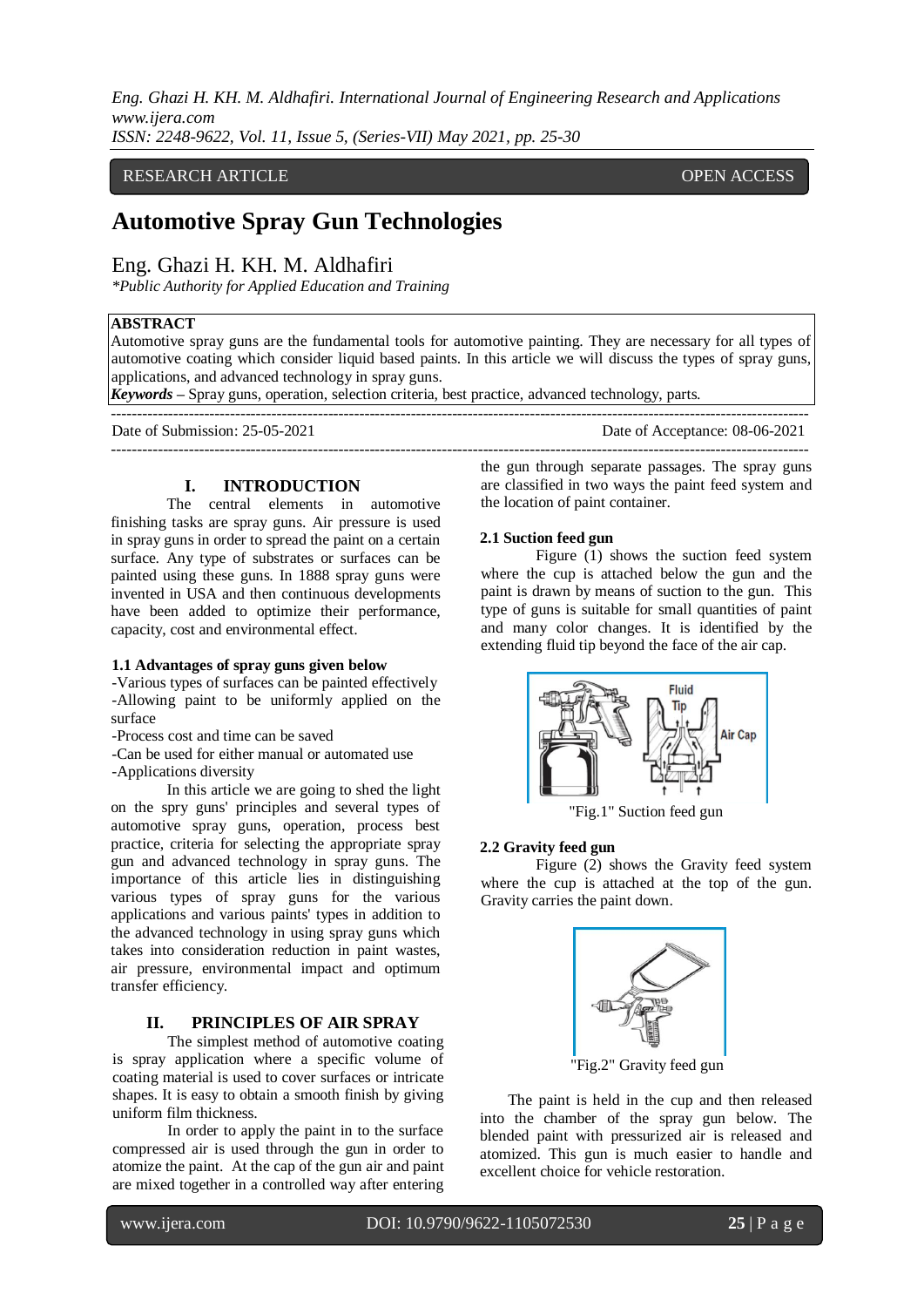*Eng. Ghazi H. KH. M. Aldhafiri. International Journal of Engineering Research and Applications www.ijera.com*

*ISSN: 2248-9622, Vol. 11, Issue 5, (Series-VII) May 2021, pp. 25-30*

# RESEARCH ARTICLE OPEN ACCESS RESEARCH ARTICLE OPEN ACCESS

# **Automotive Spray Gun Technologies**

# Eng. Ghazi H. KH. M. Aldhafiri

*\*Public Authority for Applied Education and Training* 

## **ABSTRACT**

Automotive spray guns are the fundamental tools for automotive painting. They are necessary for all types of automotive coating which consider liquid based paints. In this article we will discuss the types of spray guns, applications, and advanced technology in spray guns.

*Keywords* **–** Spray guns, operation, selection criteria, best practice, advanced technology, parts. ---------------------------------------------------------------------------------------------------------------------------------------

Date of Submission: 25-05-2021 Date of Acceptance: 08-06-2021

---------------------------------------------------------------------------------------------------------------------------------------

# **I. INTRODUCTION**

The central elements in automotive finishing tasks are spray guns. Air pressure is used in spray guns in order to spread the paint on a certain surface. Any type of substrates or surfaces can be painted using these guns. In 1888 spray guns were invented in USA and then continuous developments have been added to optimize their performance, capacity, cost and environmental effect.

#### **1.1 Advantages of spray guns given below**

-Various types of surfaces can be painted effectively -Allowing paint to be uniformly applied on the surface

-Process cost and time can be saved

-Can be used for either manual or automated use

-Applications diversity

In this article we are going to shed the light on the spry guns' principles and several types of automotive spray guns, operation, process best practice, criteria for selecting the appropriate spray gun and advanced technology in spray guns. The importance of this article lies in distinguishing various types of spray guns for the various applications and various paints' types in addition to the advanced technology in using spray guns which takes into consideration reduction in paint wastes, air pressure, environmental impact and optimum transfer efficiency.

#### **II. PRINCIPLES OF AIR SPRAY**

The simplest method of automotive coating is spray application where a specific volume of coating material is used to cover surfaces or intricate shapes. It is easy to obtain a smooth finish by giving uniform film thickness.

In order to apply the paint in to the surface compressed air is used through the gun in order to atomize the paint. At the cap of the gun air and paint are mixed together in a controlled way after entering the gun through separate passages. The spray guns are classified in two ways the paint feed system and the location of paint container.

#### **2.1 Suction feed gun**

Figure (1) shows the suction feed system where the cup is attached below the gun and the paint is drawn by means of suction to the gun. This type of guns is suitable for small quantities of paint and many color changes. It is identified by the extending fluid tip beyond the face of the air cap.



"Fig.1" Suction feed gun

#### **2.2 Gravity feed gun**

Figure (2) shows the Gravity feed system where the cup is attached at the top of the gun. Gravity carries the paint down.



"Fig.2" Gravity feed gun

The paint is held in the cup and then released into the chamber of the spray gun below. The blended paint with pressurized air is released and atomized. This gun is much easier to handle and excellent choice for vehicle restoration.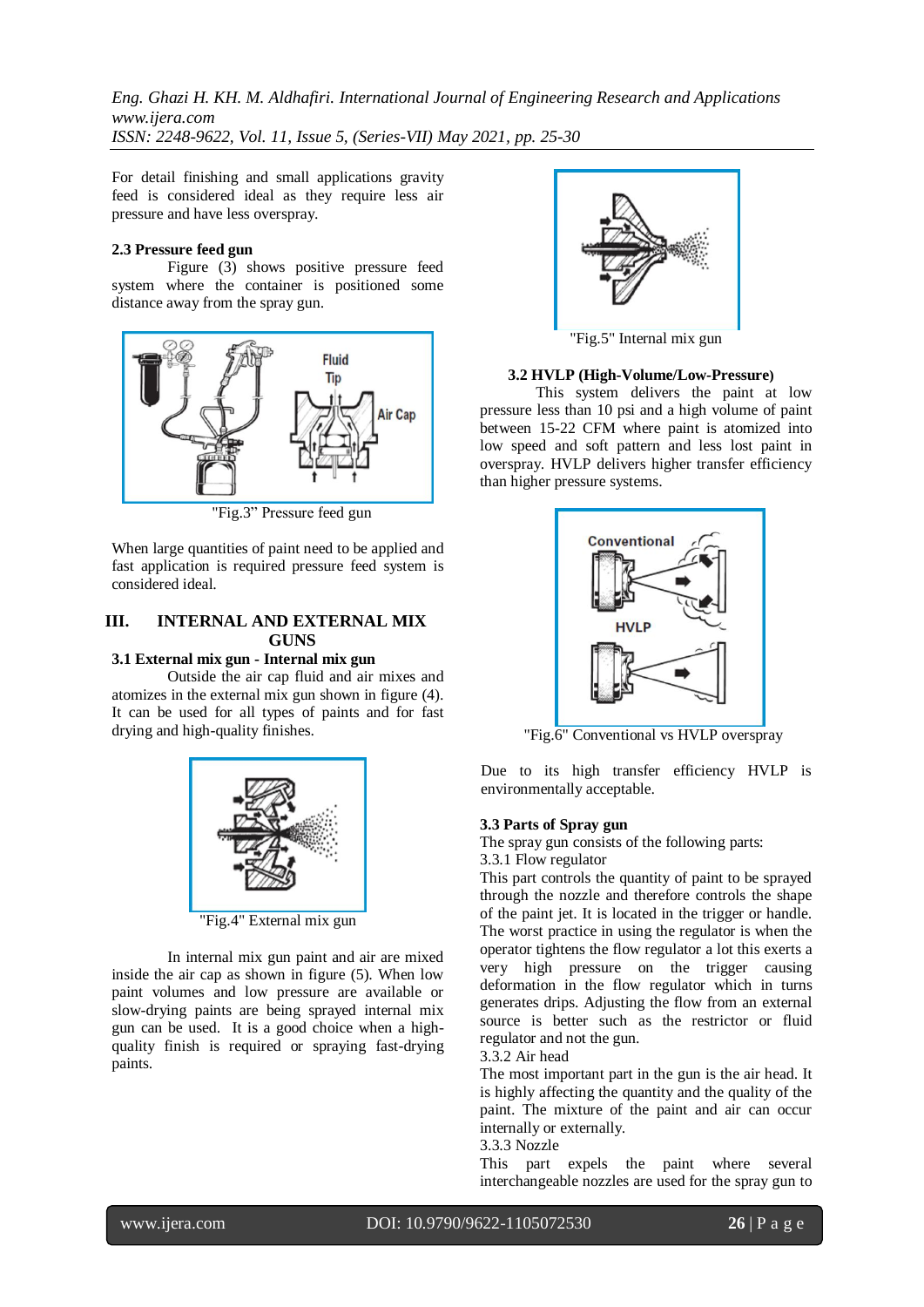For detail finishing and small applications gravity feed is considered ideal as they require less air pressure and have less overspray.

## **2.3 Pressure feed gun**

Figure (3) shows positive pressure feed system where the container is positioned some distance away from the spray gun.



"Fig.3" Pressure feed gun

When large quantities of paint need to be applied and fast application is required pressure feed system is considered ideal.

# **III. INTERNAL AND EXTERNAL MIX GUNS**

# **3.1 External mix gun - Internal mix gun**

Outside the air cap fluid and air mixes and atomizes in the external mix gun shown in figure (4). It can be used for all types of paints and for fast drying and high-quality finishes.



"Fig.4" External mix gun

In internal mix gun paint and air are mixed inside the air cap as shown in figure (5). When low paint volumes and low pressure are available or slow-drying paints are being sprayed internal mix gun can be used. It is a good choice when a highquality finish is required or spraying fast-drying paints.



"Fig.5" Internal mix gun

#### **3.2 HVLP (High-Volume/Low-Pressure)**

This system delivers the paint at low pressure less than 10 psi and a high volume of paint between 15-22 CFM where paint is atomized into low speed and soft pattern and less lost paint in overspray. HVLP delivers higher transfer efficiency than higher pressure systems.



"Fig.6" Conventional vs HVLP overspray

Due to its high transfer efficiency HVLP is environmentally acceptable.

#### **3.3 Parts of Spray gun**

The spray gun consists of the following parts: 3.3.1 Flow regulator

This part controls the quantity of paint to be sprayed through the nozzle and therefore controls the shape of the paint jet. It is located in the trigger or handle. The worst practice in using the regulator is when the operator tightens the flow regulator a lot this exerts a very high pressure on the trigger causing deformation in the flow regulator which in turns generates drips. Adjusting the flow from an external source is better such as the restrictor or fluid regulator and not the gun.

3.3.2 Air head

The most important part in the gun is the air head. It is highly affecting the quantity and the quality of the paint. The mixture of the paint and air can occur internally or externally.

#### 3.3.3 Nozzle

This part expels the paint where several interchangeable nozzles are used for the spray gun to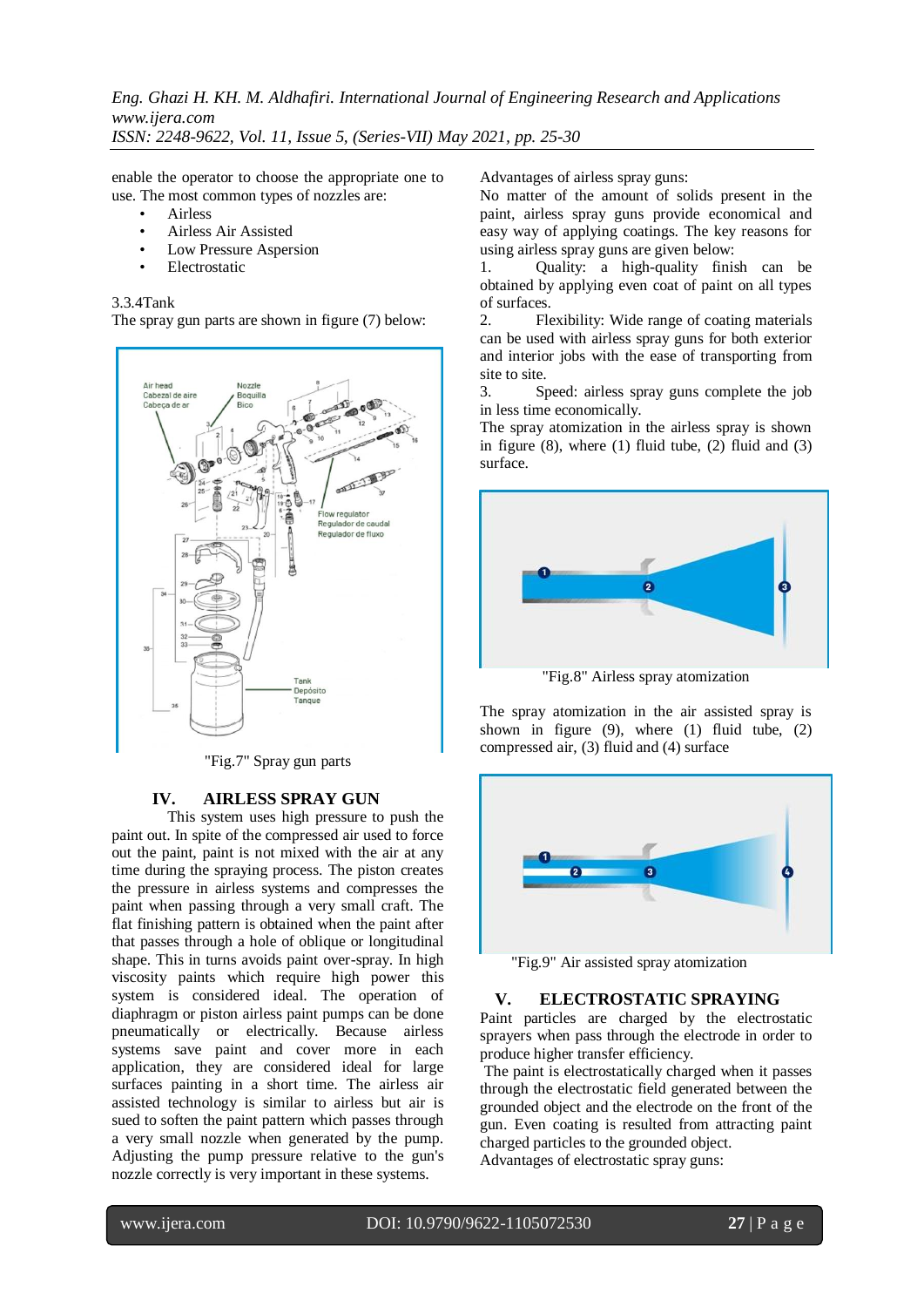enable the operator to choose the appropriate one to use. The most common types of nozzles are:

- **Airless**
- Airless Air Assisted
- Low Pressure Aspersion
- Electrostatic

#### 3.3.4Tank

The spray gun parts are shown in figure (7) below:



"Fig.7" Spray gun parts

## **IV. AIRLESS SPRAY GUN**

This system uses high pressure to push the paint out. In spite of the compressed air used to force out the paint, paint is not mixed with the air at any time during the spraying process. The piston creates the pressure in airless systems and compresses the paint when passing through a very small craft. The flat finishing pattern is obtained when the paint after that passes through a hole of oblique or longitudinal shape. This in turns avoids paint over-spray. In high viscosity paints which require high power this system is considered ideal. The operation of diaphragm or piston airless paint pumps can be done pneumatically or electrically. Because airless systems save paint and cover more in each application, they are considered ideal for large surfaces painting in a short time. The airless air assisted technology is similar to airless but air is sued to soften the paint pattern which passes through a very small nozzle when generated by the pump. Adjusting the pump pressure relative to the gun's nozzle correctly is very important in these systems.

Advantages of airless spray guns:

No matter of the amount of solids present in the paint, airless spray guns provide economical and easy way of applying coatings. The key reasons for using airless spray guns are given below:

1. Quality: a high-quality finish can be obtained by applying even coat of paint on all types of surfaces.

2. Flexibility: Wide range of coating materials can be used with airless spray guns for both exterior and interior jobs with the ease of transporting from site to site.

3. Speed: airless spray guns complete the job in less time economically.

The spray atomization in the airless spray is shown in figure  $(8)$ , where  $(1)$  fluid tube,  $(2)$  fluid and  $(3)$ surface.



"Fig.8" Airless spray atomization

The spray atomization in the air assisted spray is shown in figure  $(9)$ , where  $(1)$  fluid tube,  $(2)$ compressed air, (3) fluid and (4) surface



"Fig.9" Air assisted spray atomization

# **V. ELECTROSTATIC SPRAYING**

Paint particles are charged by the electrostatic sprayers when pass through the electrode in order to produce higher transfer efficiency.

The paint is electrostatically charged when it passes through the electrostatic field generated between the grounded object and the electrode on the front of the gun. Even coating is resulted from attracting paint charged particles to the grounded object. Advantages of electrostatic spray guns: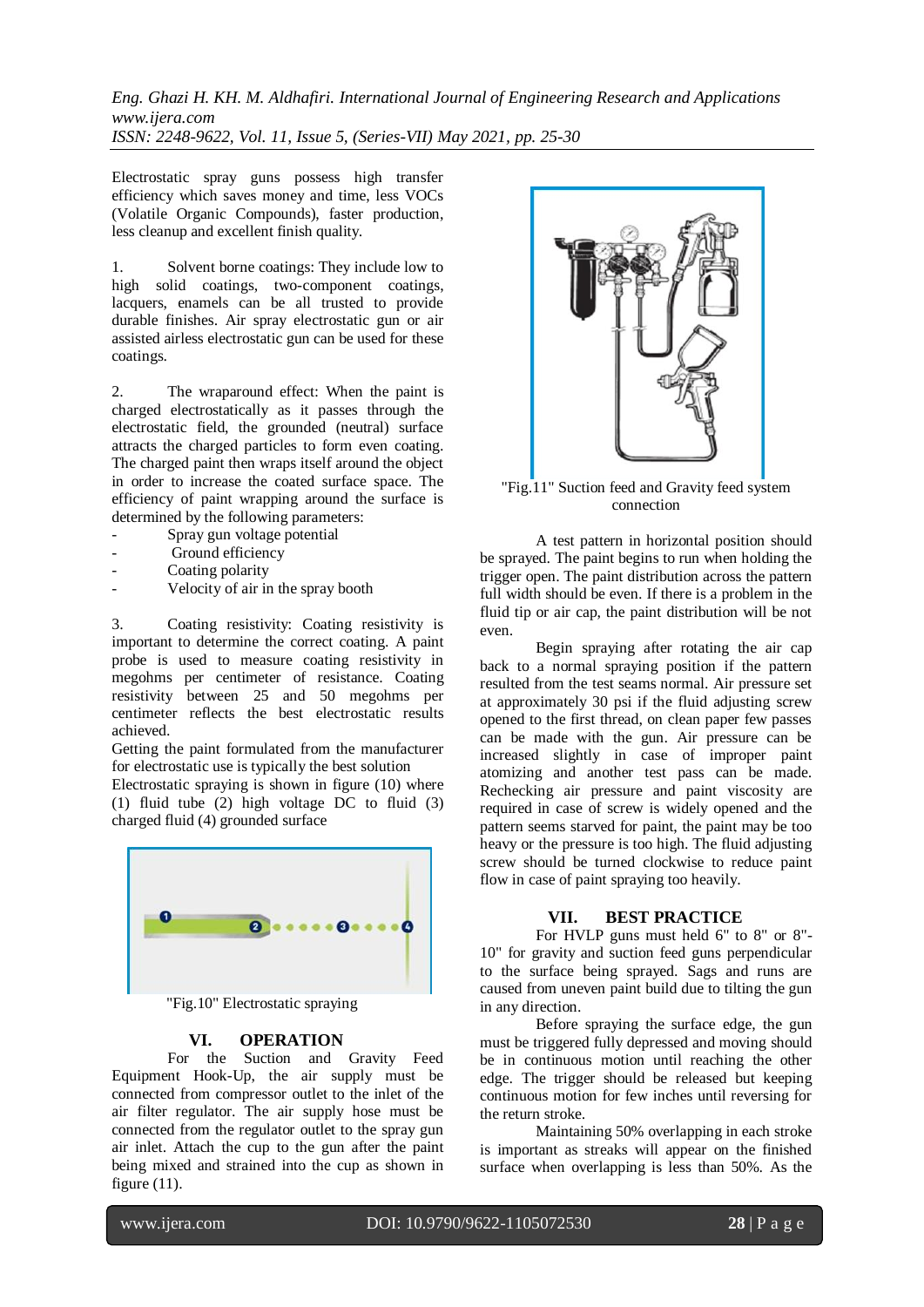Electrostatic spray guns possess high transfer efficiency which saves money and time, less VOCs (Volatile Organic Compounds), faster production, less cleanup and excellent finish quality.

1. Solvent borne coatings: They include low to high solid coatings, two-component coatings, lacquers, enamels can be all trusted to provide durable finishes. Air spray electrostatic gun or air assisted airless electrostatic gun can be used for these coatings.

2. The wraparound effect: When the paint is charged electrostatically as it passes through the electrostatic field, the grounded (neutral) surface attracts the charged particles to form even coating. The charged paint then wraps itself around the object in order to increase the coated surface space. The efficiency of paint wrapping around the surface is determined by the following parameters:

- Spray gun voltage potential
- Ground efficiency
- Coating polarity
- Velocity of air in the spray booth

3. Coating resistivity: Coating resistivity is important to determine the correct coating. A paint probe is used to measure coating resistivity in megohms per centimeter of resistance. Coating resistivity between 25 and 50 megohms per centimeter reflects the best electrostatic results achieved.

Getting the paint formulated from the manufacturer for electrostatic use is typically the best solution

Electrostatic spraying is shown in figure (10) where (1) fluid tube (2) high voltage DC to fluid (3) charged fluid (4) grounded surface



"Fig.10" Electrostatic spraying

#### **VI. OPERATION**

For the Suction and Gravity Feed Equipment Hook-Up, the air supply must be connected from compressor outlet to the inlet of the air filter regulator. The air supply hose must be connected from the regulator outlet to the spray gun air inlet. Attach the cup to the gun after the paint being mixed and strained into the cup as shown in figure  $(11)$ .



"Fig.11" Suction feed and Gravity feed system connection

A test pattern in horizontal position should be sprayed. The paint begins to run when holding the trigger open. The paint distribution across the pattern full width should be even. If there is a problem in the fluid tip or air cap, the paint distribution will be not even.

Begin spraying after rotating the air cap back to a normal spraying position if the pattern resulted from the test seams normal. Air pressure set at approximately 30 psi if the fluid adjusting screw opened to the first thread, on clean paper few passes can be made with the gun. Air pressure can be increased slightly in case of improper paint atomizing and another test pass can be made. Rechecking air pressure and paint viscosity are required in case of screw is widely opened and the pattern seems starved for paint, the paint may be too heavy or the pressure is too high. The fluid adjusting screw should be turned clockwise to reduce paint flow in case of paint spraying too heavily.

#### **VII. BEST PRACTICE**

For HVLP guns must held 6" to 8" or 8"-10" for gravity and suction feed guns perpendicular to the surface being sprayed. Sags and runs are caused from uneven paint build due to tilting the gun in any direction.

Before spraying the surface edge, the gun must be triggered fully depressed and moving should be in continuous motion until reaching the other edge. The trigger should be released but keeping continuous motion for few inches until reversing for the return stroke.

Maintaining 50% overlapping in each stroke is important as streaks will appear on the finished surface when overlapping is less than 50%. As the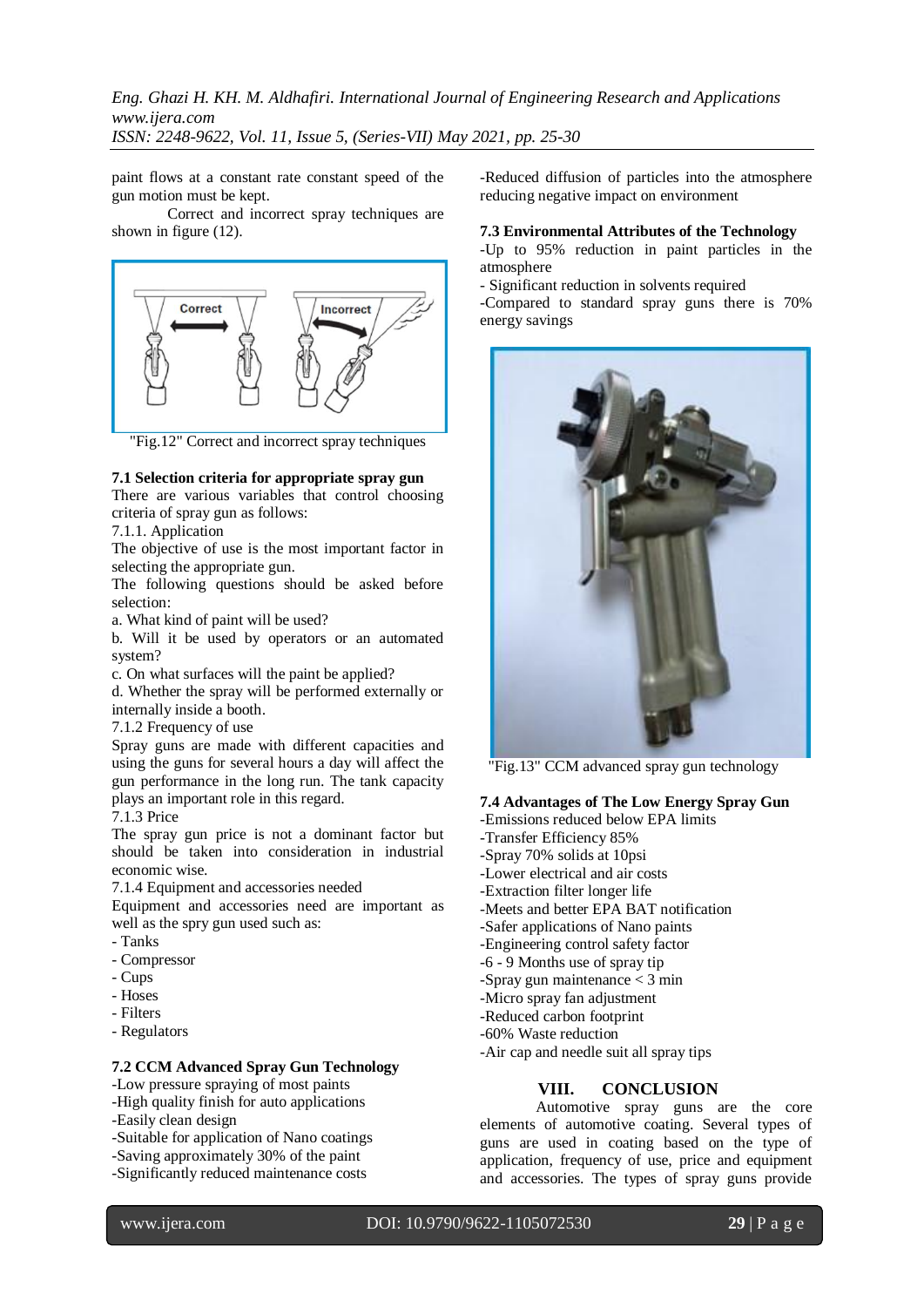paint flows at a constant rate constant speed of the gun motion must be kept.

Correct and incorrect spray techniques are shown in figure (12).



"Fig.12" Correct and incorrect spray techniques

#### **7.1 Selection criteria for appropriate spray gun**

There are various variables that control choosing criteria of spray gun as follows:

7.1.1. Application

The objective of use is the most important factor in selecting the appropriate gun.

The following questions should be asked before selection:

a. What kind of paint will be used?

b. Will it be used by operators or an automated system?

c. On what surfaces will the paint be applied?

d. Whether the spray will be performed externally or internally inside a booth.

7.1.2 Frequency of use

Spray guns are made with different capacities and using the guns for several hours a day will affect the gun performance in the long run. The tank capacity plays an important role in this regard.

7.1.3 Price

The spray gun price is not a dominant factor but should be taken into consideration in industrial economic wise.

7.1.4 Equipment and accessories needed

Equipment and accessories need are important as well as the spry gun used such as:

- Tanks
- Compressor
- Cups
- Hoses
- Filters
- Regulators

# **7.2 CCM Advanced Spray Gun Technology**

- -Low pressure spraying of most paints -High quality finish for auto applications
- -Easily clean design
- -Suitable for application of Nano coatings
- -Saving approximately 30% of the paint
- -Significantly reduced maintenance costs

-Reduced diffusion of particles into the atmosphere reducing negative impact on environment

#### **7.3 Environmental Attributes of the Technology**

-Up to 95% reduction in paint particles in the atmosphere

- Significant reduction in solvents required

-Compared to standard spray guns there is 70% energy savings



"Fig.13" CCM advanced spray gun technology

#### **7.4 Advantages of The Low Energy Spray Gun**

-Emissions reduced below EPA limits -Transfer Efficiency 85% -Spray 70% solids at 10psi -Lower electrical and air costs -Extraction filter longer life -Meets and better EPA BAT notification -Safer applications of Nano paints -Engineering control safety factor -6 - 9 Months use of spray tip -Spray gun maintenance < 3 min -Micro spray fan adjustment -Reduced carbon footprint -60% Waste reduction -Air cap and needle suit all spray tips

## **VIII. CONCLUSION**

Automotive spray guns are the core elements of automotive coating. Several types of guns are used in coating based on the type of application, frequency of use, price and equipment and accessories. The types of spray guns provide